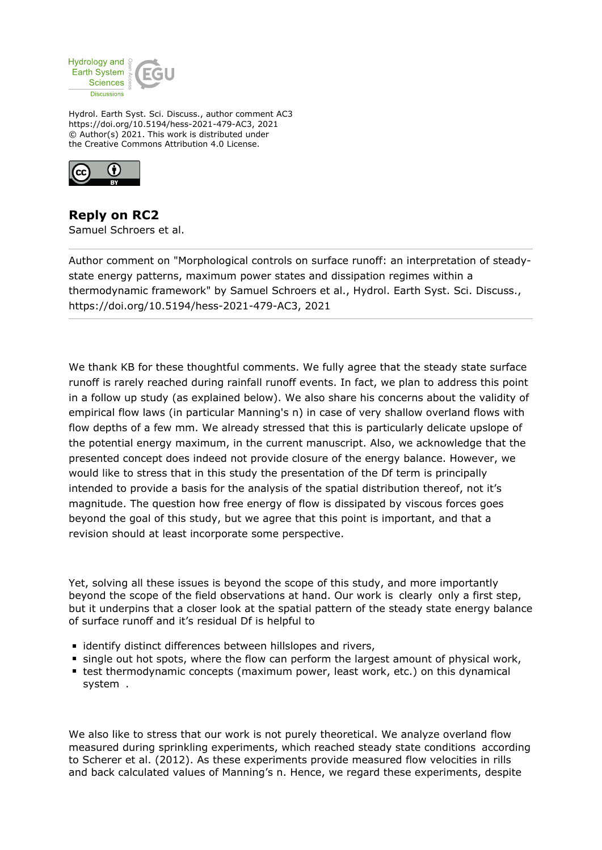

Hydrol. Earth Syst. Sci. Discuss., author comment AC3 https://doi.org/10.5194/hess-2021-479-AC3, 2021 © Author(s) 2021. This work is distributed under the Creative Commons Attribution 4.0 License.



**Reply on RC2** Samuel Schroers et al.

Author comment on "Morphological controls on surface runoff: an interpretation of steadystate energy patterns, maximum power states and dissipation regimes within a thermodynamic framework" by Samuel Schroers et al., Hydrol. Earth Syst. Sci. Discuss., https://doi.org/10.5194/hess-2021-479-AC3, 2021

We thank KB for these thoughtful comments. We fully agree that the steady state surface runoff is rarely reached during rainfall runoff events. In fact, we plan to address this point in a follow up study (as explained below). We also share his concerns about the validity of empirical flow laws (in particular Manning's n) in case of very shallow overland flows with flow depths of a few mm. We already stressed that this is particularly delicate upslope of the potential energy maximum, in the current manuscript. Also, we acknowledge that the presented concept does indeed not provide closure of the energy balance. However, we would like to stress that in this study the presentation of the Df term is principally intended to provide a basis for the analysis of the spatial distribution thereof, not it's magnitude. The question how free energy of flow is dissipated by viscous forces goes beyond the goal of this study, but we agree that this point is important, and that a revision should at least incorporate some perspective.

Yet, solving all these issues is beyond the scope of this study, and more importantly beyond the scope of the field observations at hand. Our work is clearly only a first step, but it underpins that a closer look at the spatial pattern of the steady state energy balance of surface runoff and it's residual Df is helpful to

- **I** identify distinct differences between hillslopes and rivers,
- single out hot spots, where the flow can perform the largest amount of physical work,
- test thermodynamic concepts (maximum power, least work, etc.) on this dynamical system .

We also like to stress that our work is not purely theoretical. We analyze overland flow measured during sprinkling experiments, which reached steady state conditions according to Scherer et al. (2012). As these experiments provide measured flow velocities in rills and back calculated values of Manning's n. Hence, we regard these experiments, despite